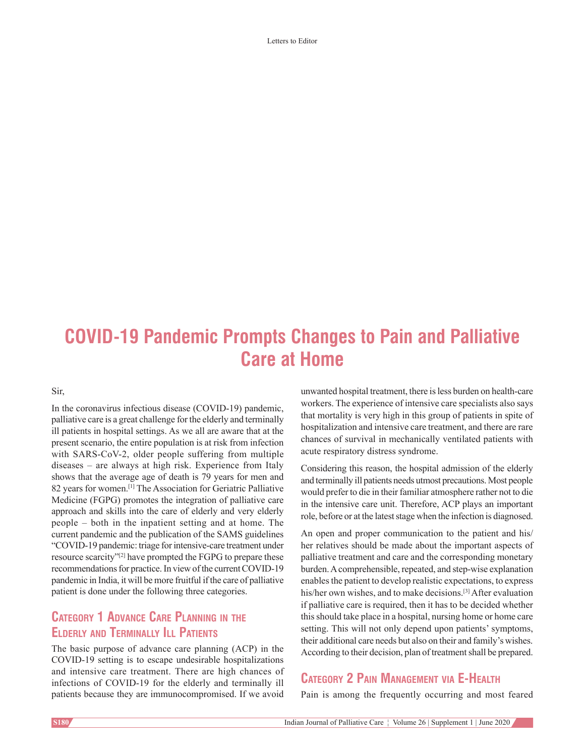Letters to Editor

# **COVID‑19 Pandemic Prompts Changes to Pain and Palliative Care at Home**

Sir,

In the coronavirus infectious disease (COVID-19) pandemic, palliative care is a great challenge for the elderly and terminally ill patients in hospital settings. As we all are aware that at the present scenario, the entire population is at risk from infection with SARS-CoV-2, older people suffering from multiple diseases – are always at high risk. Experience from Italy shows that the average age of death is 79 years for men and 82 years for women.[1] The Association for Geriatric Palliative Medicine (FGPG) promotes the integration of palliative care approach and skills into the care of elderly and very elderly people – both in the inpatient setting and at home. The current pandemic and the publication of the SAMS guidelines "COVID‑19 pandemic: triage for intensive‑care treatment under resource scarcity"[2] have prompted the FGPG to prepare these recommendations for practice. In view of the current COVID-19 pandemic in India, it will be more fruitful if the care of palliative patient is done under the following three categories.

## **Category 1 Advance Care Planning in the Elderly and Terminally Ill Patients**

The basic purpose of advance care planning (ACP) in the COVID‑19 setting is to escape undesirable hospitalizations and intensive care treatment. There are high chances of infections of COVID-19 for the elderly and terminally ill patients because they are immunocompromised. If we avoid

unwanted hospital treatment, there is less burden on health-care workers. The experience of intensive care specialists also says that mortality is very high in this group of patients in spite of hospitalization and intensive care treatment, and there are rare chances of survival in mechanically ventilated patients with acute respiratory distress syndrome.

Considering this reason, the hospital admission of the elderly and terminally ill patients needs utmost precautions. Most people would prefer to die in their familiar atmosphere rather not to die in the intensive care unit. Therefore, ACP plays an important role, before or at the latest stage when the infection is diagnosed.

An open and proper communication to the patient and his/ her relatives should be made about the important aspects of palliative treatment and care and the corresponding monetary burden. A comprehensible, repeated, and step-wise explanation enables the patient to develop realistic expectations, to express his/her own wishes, and to make decisions.<sup>[3]</sup> After evaluation if palliative care is required, then it has to be decided whether this should take place in a hospital, nursing home or home care setting. This will not only depend upon patients' symptoms, their additional care needs but also on their and family's wishes. According to their decision, plan of treatment shall be prepared.

## **Category 2 Pain Management via E‑Health**

Pain is among the frequently occurring and most feared